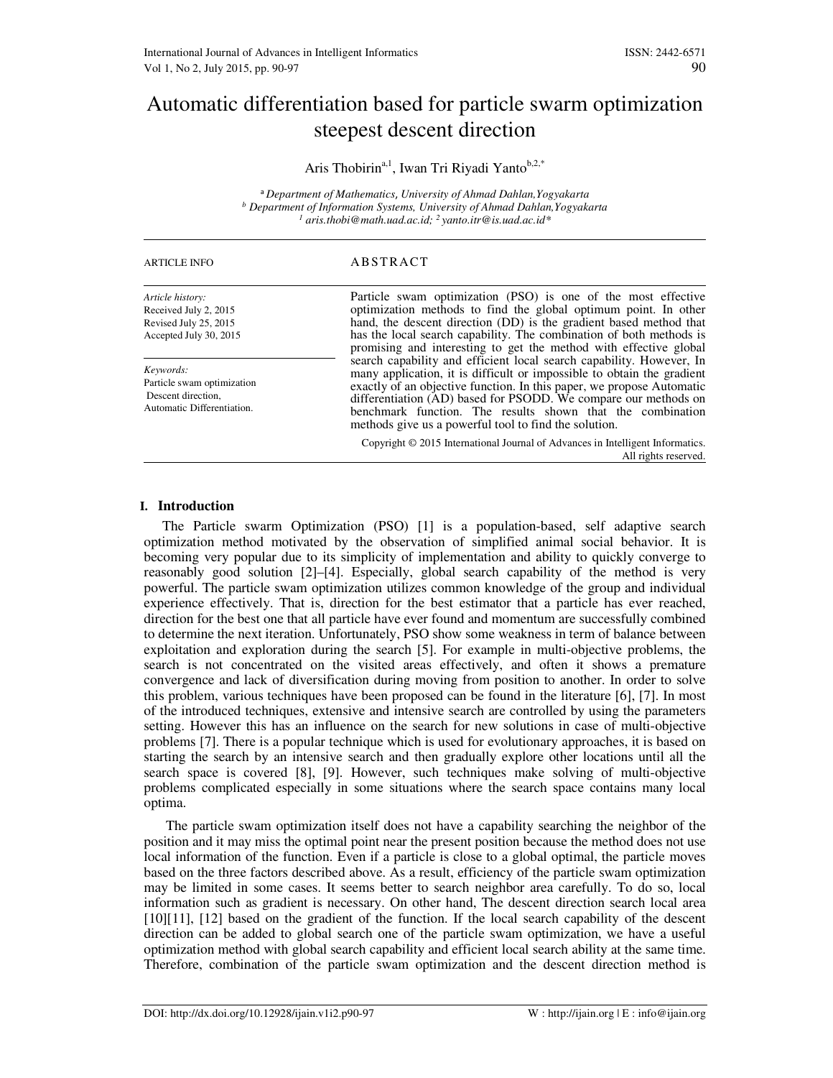# Automatic differentiation based for particle swarm optimization steepest descent direction

Aris Thobirin<sup>a,1</sup>, Iwan Tri Riyadi Yanto<sup>b,2,\*</sup>

<sup>a</sup>*Department of Mathematics*, *University of Ahmad Dahlan,Yogyakarta b Department of Information Systems, University of Ahmad Dahlan,Yogyakarta 1 aris.thobi@math.uad.ac.id; <sup>2</sup>yanto.itr@is.uad.ac.id\**

| <b>ARTICLE INFO</b>                                                                          | ABSTRACT                                                                                                                                                                                                                                                                                                                                                                                                          |
|----------------------------------------------------------------------------------------------|-------------------------------------------------------------------------------------------------------------------------------------------------------------------------------------------------------------------------------------------------------------------------------------------------------------------------------------------------------------------------------------------------------------------|
| Article history:<br>Received July 2, 2015<br>Revised July 25, 2015<br>Accepted July 30, 2015 | Particle swam optimization (PSO) is one of the most effective<br>optimization methods to find the global optimum point. In other<br>hand, the descent direction (DD) is the gradient based method that<br>has the local search capability. The combination of both methods is<br>promising and interesting to get the method with effective global                                                                |
| Keywords:<br>Particle swam optimization<br>Descent direction.<br>Automatic Differentiation.  | search capability and efficient local search capability. However, In<br>many application, it is difficult or impossible to obtain the gradient<br>exactly of an objective function. In this paper, we propose Automatic<br>differentiation (AD) based for PSODD. We compare our methods on<br>benchmark function. The results shown that the combination<br>methods give us a powerful tool to find the solution. |
|                                                                                              | Copyright © 2015 International Journal of Advances in Intelligent Informatics.<br>All rights reserved.                                                                                                                                                                                                                                                                                                            |

# **I. Introduction**

The Particle swarm Optimization (PSO) [1] is a population-based, self adaptive search optimization method motivated by the observation of simplified animal social behavior. It is becoming very popular due to its simplicity of implementation and ability to quickly converge to reasonably good solution [2]–[4]. Especially, global search capability of the method is very powerful. The particle swam optimization utilizes common knowledge of the group and individual experience effectively. That is, direction for the best estimator that a particle has ever reached, direction for the best one that all particle have ever found and momentum are successfully combined to determine the next iteration. Unfortunately, PSO show some weakness in term of balance between exploitation and exploration during the search [5]. For example in multi-objective problems, the search is not concentrated on the visited areas effectively, and often it shows a premature convergence and lack of diversification during moving from position to another. In order to solve this problem, various techniques have been proposed can be found in the literature [6], [7]. In most of the introduced techniques, extensive and intensive search are controlled by using the parameters setting. However this has an influence on the search for new solutions in case of multi-objective problems [7]. There is a popular technique which is used for evolutionary approaches, it is based on starting the search by an intensive search and then gradually explore other locations until all the search space is covered [8], [9]. However, such techniques make solving of multi-objective problems complicated especially in some situations where the search space contains many local optima.

 The particle swam optimization itself does not have a capability searching the neighbor of the position and it may miss the optimal point near the present position because the method does not use local information of the function. Even if a particle is close to a global optimal, the particle moves based on the three factors described above. As a result, efficiency of the particle swam optimization may be limited in some cases. It seems better to search neighbor area carefully. To do so, local information such as gradient is necessary. On other hand, The descent direction search local area [10][11], [12] based on the gradient of the function. If the local search capability of the descent direction can be added to global search one of the particle swam optimization, we have a useful optimization method with global search capability and efficient local search ability at the same time. Therefore, combination of the particle swam optimization and the descent direction method is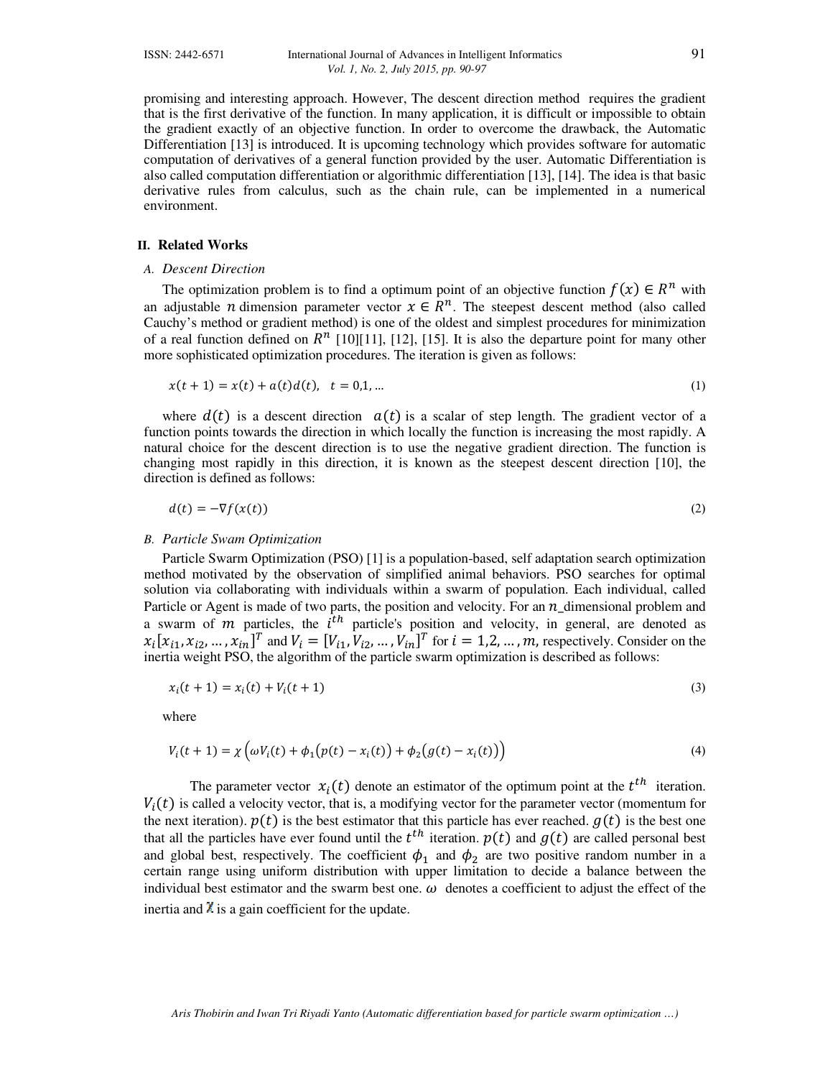promising and interesting approach. However, The descent direction method requires the gradient that is the first derivative of the function. In many application, it is difficult or impossible to obtain the gradient exactly of an objective function. In order to overcome the drawback, the Automatic Differentiation [13] is introduced. It is upcoming technology which provides software for automatic computation of derivatives of a general function provided by the user. Automatic Differentiation is also called computation differentiation or algorithmic differentiation [13], [14]. The idea is that basic derivative rules from calculus, such as the chain rule, can be implemented in a numerical environment.

### **II. Related Works**

#### *A. Descent Direction*

The optimization problem is to find a optimum point of an objective function  $f(x) \in R^n$  with an adjustable *n* dimension parameter vector  $x \in R^n$ . The steepest descent method (also called Cauchy's method or gradient method) is one of the oldest and simplest procedures for minimization of a real function defined on  $R<sup>n</sup>$  [10][11], [12], [15]. It is also the departure point for many other more sophisticated optimization procedures. The iteration is given as follows:

$$
x(t+1) = x(t) + a(t)d(t), \quad t = 0,1,... \tag{1}
$$

where  $d(t)$  is a descent direction  $a(t)$  is a scalar of step length. The gradient vector of a function points towards the direction in which locally the function is increasing the most rapidly. A natural choice for the descent direction is to use the negative gradient direction. The function is changing most rapidly in this direction, it is known as the steepest descent direction [10], the direction is defined as follows:

$$
d(t) = -\nabla f(x(t))
$$
 (2)

#### *B. Particle Swam Optimization*

Particle Swarm Optimization (PSO) [1] is a population-based, self adaptation search optimization method motivated by the observation of simplified animal behaviors. PSO searches for optimal solution via collaborating with individuals within a swarm of population. Each individual, called Particle or Agent is made of two parts, the position and velocity. For an  $n_{\text{u}}$  dimensional problem and a swarm of  $m$  particles, the  $i<sup>th</sup>$  particle's position and velocity, in general, are denoted as  $x_i[x_{i1}, x_{i2}, ..., x_{in}]^T$  and  $V_i = [V_{i1}, V_{i2}, ..., V_{in}]^T$  for  $i = 1, 2, ..., m$ , respectively. Consider on the inertia weight PSO, the algorithm of the particle swarm optimization is described as follows:

$$
x_i(t+1) = x_i(t) + V_i(t+1)
$$
 (3)

where

$$
V_i(t + 1) = \chi \left( \omega V_i(t) + \phi_1(p(t) - x_i(t)) + \phi_2(g(t) - x_i(t)) \right)
$$
\n(4)

The parameter vector  $x_i(t)$  denote an estimator of the optimum point at the  $t^{th}$  iteration.  $V_i(t)$  is called a velocity vector, that is, a modifying vector for the parameter vector (momentum for the next iteration).  $p(t)$  is the best estimator that this particle has ever reached.  $g(t)$  is the best one that all the particles have ever found until the  $t^{th}$  iteration.  $p(t)$  and  $g(t)$  are called personal best and global best, respectively. The coefficient  $\phi_1$  and  $\phi_2$  are two positive random number in a certain range using uniform distribution with upper limitation to decide a balance between the individual best estimator and the swarm best one.  $\omega$  denotes a coefficient to adjust the effect of the inertia and  $\chi$  is a gain coefficient for the update.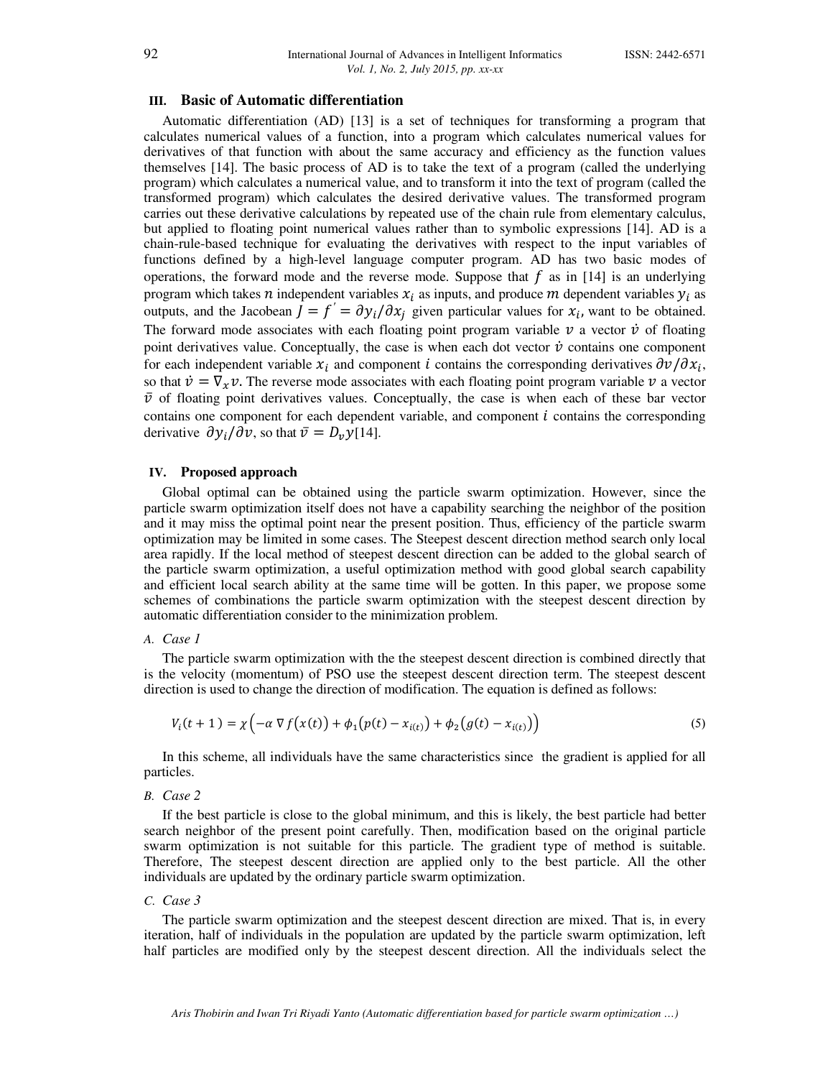#### **III. Basic of Automatic differentiation**

Automatic differentiation (AD) [13] is a set of techniques for transforming a program that calculates numerical values of a function, into a program which calculates numerical values for derivatives of that function with about the same accuracy and efficiency as the function values themselves [14]. The basic process of AD is to take the text of a program (called the underlying program) which calculates a numerical value, and to transform it into the text of program (called the transformed program) which calculates the desired derivative values. The transformed program carries out these derivative calculations by repeated use of the chain rule from elementary calculus, but applied to floating point numerical values rather than to symbolic expressions [14]. AD is a chain-rule-based technique for evaluating the derivatives with respect to the input variables of functions defined by a high-level language computer program. AD has two basic modes of operations, the forward mode and the reverse mode. Suppose that  $f$  as in [14] is an underlying program which takes *n* independent variables  $x_i$  as inputs, and produce *m* dependent variables  $y_i$  as outputs, and the Jacobean  $\vec{J} = f' = \partial y_i / \partial x_j$  given particular values for  $x_i$ , want to be obtained. The forward mode associates with each floating point program variable  $\nu$  a vector  $\dot{\nu}$  of floating point derivatives value. Conceptually, the case is when each dot vector  $\dot{v}$  contains one component for each independent variable  $x_i$  and component *i* contains the corresponding derivatives  $\partial v/\partial x_i$ , so that  $\dot{v} = \nabla_x v$ . The reverse mode associates with each floating point program variable v a vector  $\bar{\nu}$  of floating point derivatives values. Conceptually, the case is when each of these bar vector contains one component for each dependent variable, and component  $i$  contains the corresponding derivative  $\partial y_i/\partial v$ , so that  $\bar{v} = D_v y$ [14].

# **IV. Proposed approach**

Global optimal can be obtained using the particle swarm optimization. However, since the particle swarm optimization itself does not have a capability searching the neighbor of the position and it may miss the optimal point near the present position. Thus, efficiency of the particle swarm optimization may be limited in some cases. The Steepest descent direction method search only local area rapidly. If the local method of steepest descent direction can be added to the global search of the particle swarm optimization, a useful optimization method with good global search capability and efficient local search ability at the same time will be gotten. In this paper, we propose some schemes of combinations the particle swarm optimization with the steepest descent direction by automatic differentiation consider to the minimization problem.

#### *A. Case 1*

The particle swarm optimization with the the steepest descent direction is combined directly that is the velocity (momentum) of PSO use the steepest descent direction term. The steepest descent direction is used to change the direction of modification. The equation is defined as follows:

$$
V_i(t+1) = \chi\left(-\alpha \nabla f(x(t)) + \phi_1(p(t) - x_{i(t)}) + \phi_2(g(t) - x_{i(t)})\right)
$$
\n(5)

In this scheme, all individuals have the same characteristics since the gradient is applied for all particles.

*B. Case 2* 

If the best particle is close to the global minimum, and this is likely, the best particle had better search neighbor of the present point carefully. Then, modification based on the original particle swarm optimization is not suitable for this particle. The gradient type of method is suitable. Therefore, The steepest descent direction are applied only to the best particle. All the other individuals are updated by the ordinary particle swarm optimization.

#### *C. Case 3*

The particle swarm optimization and the steepest descent direction are mixed. That is, in every iteration, half of individuals in the population are updated by the particle swarm optimization, left half particles are modified only by the steepest descent direction. All the individuals select the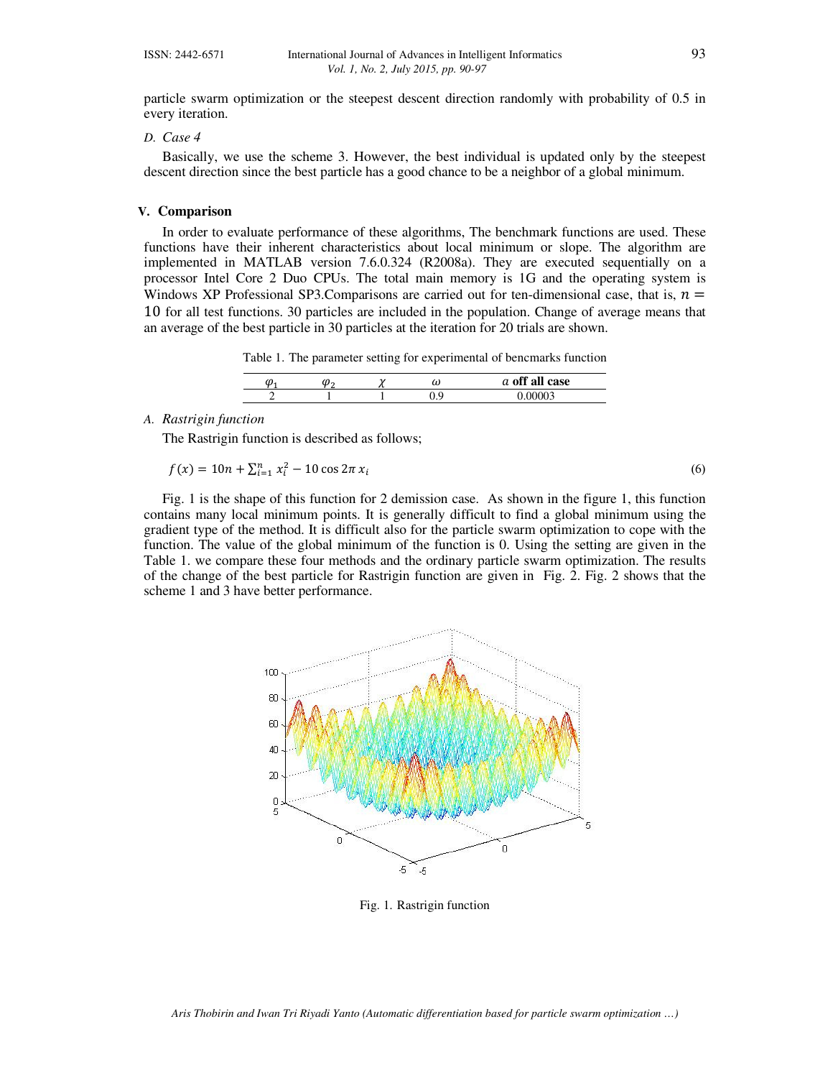particle swarm optimization or the steepest descent direction randomly with probability of 0.5 in every iteration.

#### *D. Case 4*

Basically, we use the scheme 3. However, the best individual is updated only by the steepest descent direction since the best particle has a good chance to be a neighbor of a global minimum.

#### **V. Comparison**

In order to evaluate performance of these algorithms, The benchmark functions are used. These functions have their inherent characteristics about local minimum or slope. The algorithm are implemented in MATLAB version 7.6.0.324 (R2008a). They are executed sequentially on a processor Intel Core 2 Duo CPUs. The total main memory is 1G and the operating system is Windows XP Professional SP3. Comparisons are carried out for ten-dimensional case, that is,  $n =$ 10 for all test functions. 30 particles are included in the population. Change of average means that an average of the best particle in 30 particles at the iteration for 20 trials are shown.

Table 1. The parameter setting for experimental of bencmarks function

| U | м. | $\ddot{\phantom{a}}$ | ω   | $\alpha$ <sup>ee</sup> $\alpha$ <sup>r</sup><br>all case<br>u<br>v.ı |
|---|----|----------------------|-----|----------------------------------------------------------------------|
|   |    |                      | ∪., |                                                                      |

#### *A. Rastrigin function*

The Rastrigin function is described as follows;

$$
f(x) = 10n + \sum_{i=1}^{n} x_i^2 - 10 \cos 2\pi x_i
$$
 (6)

Fig. 1 is the shape of this function for 2 demission case. As shown in the figure 1, this function contains many local minimum points. It is generally difficult to find a global minimum using the gradient type of the method. It is difficult also for the particle swarm optimization to cope with the function. The value of the global minimum of the function is 0. Using the setting are given in the Table 1. we compare these four methods and the ordinary particle swarm optimization. The results of the change of the best particle for Rastrigin function are given in Fig. 2. Fig. 2 shows that the scheme 1 and 3 have better performance.



Fig. 1. Rastrigin function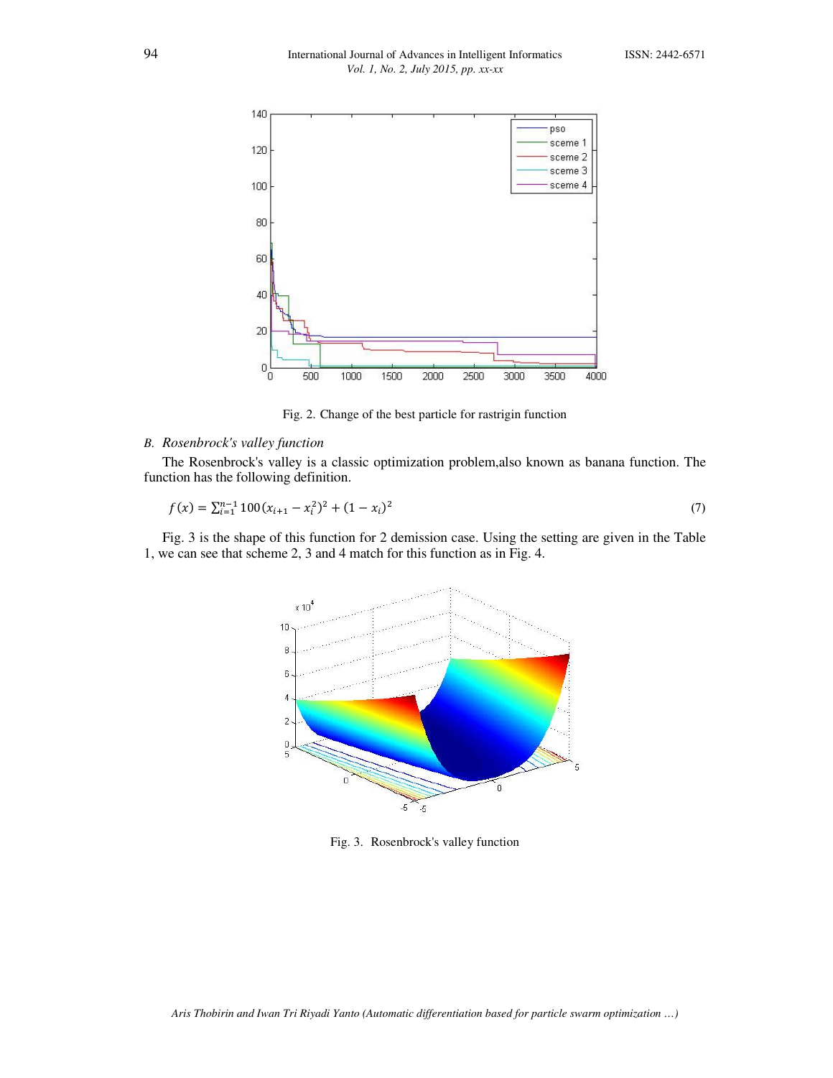

Fig. 2. Change of the best particle for rastrigin function

# *B. Rosenbrock's valley function*

The Rosenbrock's valley is a classic optimization problem,also known as banana function. The function has the following definition.

$$
f(x) = \sum_{i=1}^{n-1} 100(x_{i+1} - x_i^2)^2 + (1 - x_i)^2
$$
\n(7)

Fig. 3 is the shape of this function for 2 demission case. Using the setting are given in the Table 1, we can see that scheme 2, 3 and 4 match for this function as in Fig. 4.



Fig. 3. Rosenbrock's valley function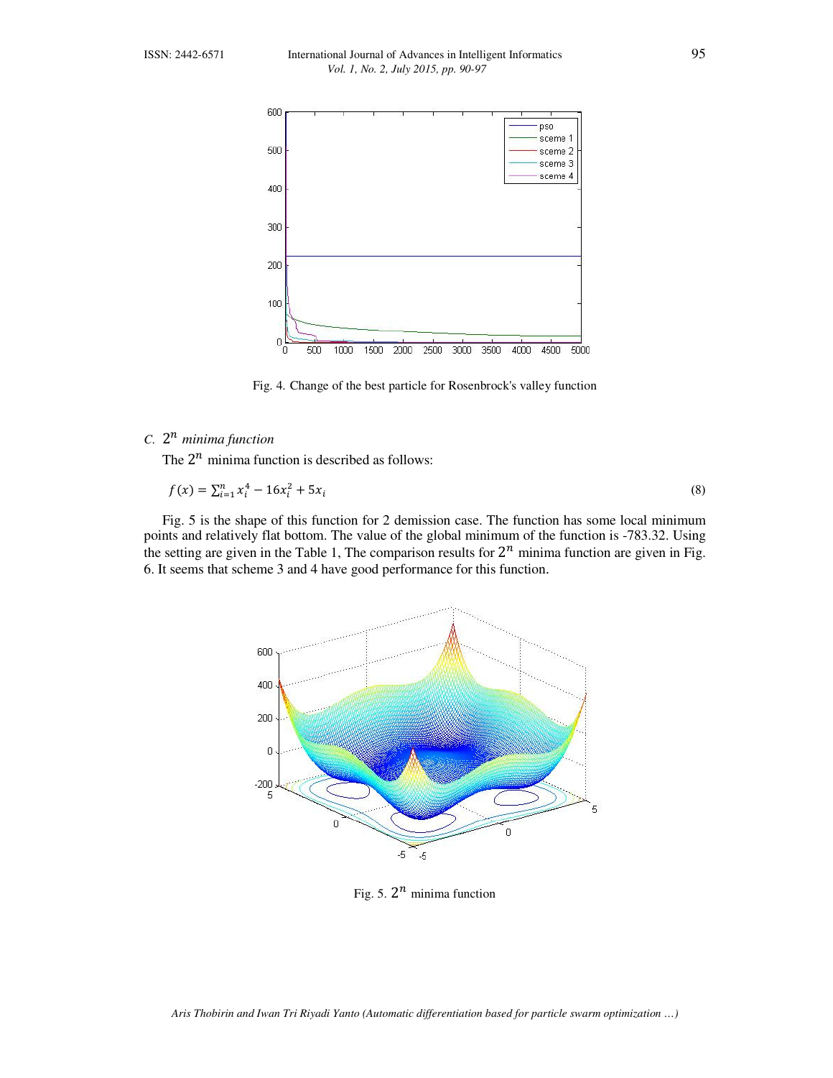

Fig. 4. Change of the best particle for Rosenbrock's valley function

# *C.* 2  *minima function*

The  $2^n$  minima function is described as follows:

$$
f(x) = \sum_{i=1}^{n} x_i^4 - 16x_i^2 + 5x_i
$$
 (8)

Fig. 5 is the shape of this function for 2 demission case. The function has some local minimum points and relatively flat bottom. The value of the global minimum of the function is -783.32. Using the setting are given in the Table 1, The comparison results for  $2^n$  minima function are given in Fig. 6. It seems that scheme 3 and 4 have good performance for this function.



Fig. 5.  $2^n$  minima function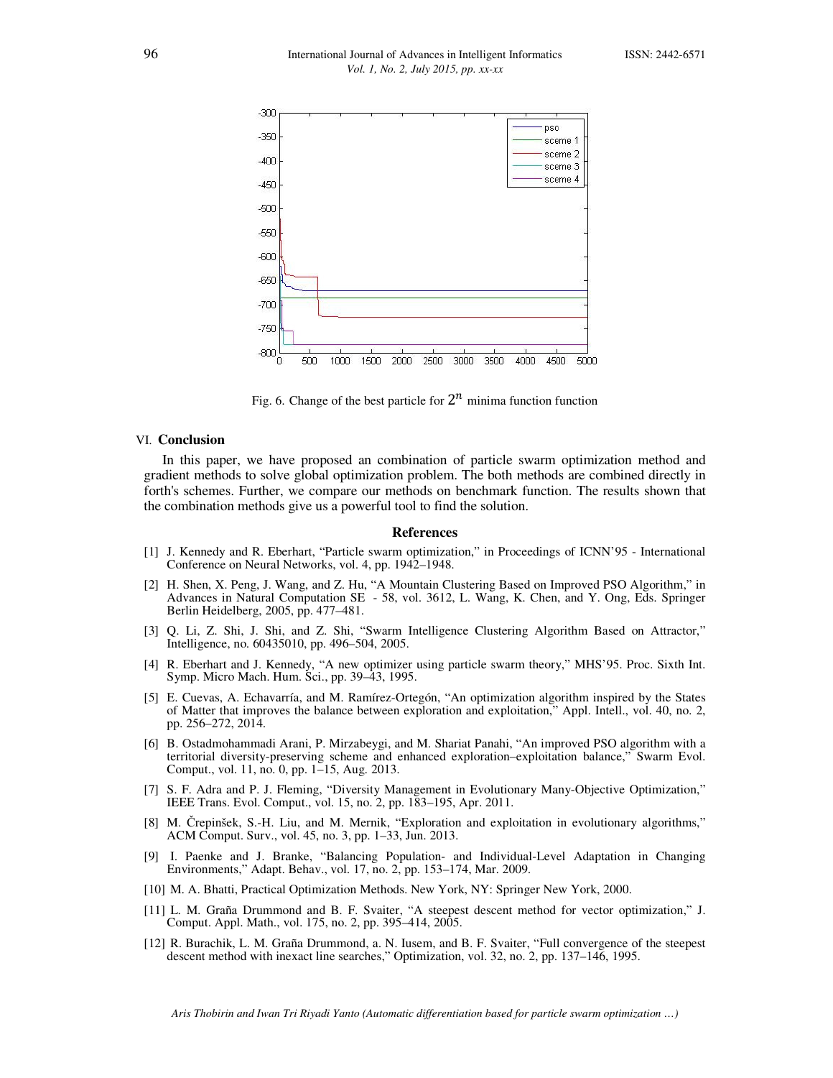

Fig. 6. Change of the best particle for  $2^n$  minima function function

#### VI. **Conclusion**

In this paper, we have proposed an combination of particle swarm optimization method and gradient methods to solve global optimization problem. The both methods are combined directly in forth's schemes. Further, we compare our methods on benchmark function. The results shown that the combination methods give us a powerful tool to find the solution.

#### **References**

- [1] J. Kennedy and R. Eberhart, "Particle swarm optimization," in Proceedings of ICNN'95 International Conference on Neural Networks, vol. 4, pp. 1942–1948.
- [2] H. Shen, X. Peng, J. Wang, and Z. Hu, "A Mountain Clustering Based on Improved PSO Algorithm," in Advances in Natural Computation SE - 58, vol. 3612, L. Wang, K. Chen, and Y. Ong, Eds. Springer Berlin Heidelberg, 2005, pp. 477–481.
- [3] Q. Li, Z. Shi, J. Shi, and Z. Shi, "Swarm Intelligence Clustering Algorithm Based on Attractor," Intelligence, no. 60435010, pp. 496–504, 2005.
- [4] R. Eberhart and J. Kennedy, "A new optimizer using particle swarm theory," MHS'95. Proc. Sixth Int. Symp. Micro Mach. Hum. Sci., pp. 39–43, 1995.
- [5] E. Cuevas, A. Echavarría, and M. Ramírez-Ortegón, "An optimization algorithm inspired by the States of Matter that improves the balance between exploration and exploitation," Appl. Intell., vol. 40, no. 2, pp. 256–272, 2014.
- [6] B. Ostadmohammadi Arani, P. Mirzabeygi, and M. Shariat Panahi, "An improved PSO algorithm with a territorial diversity-preserving scheme and enhanced exploration–exploitation balance," Swarm Evol. Comput., vol. 11, no. 0, pp. 1–15, Aug. 2013.
- [7] S. F. Adra and P. J. Fleming, "Diversity Management in Evolutionary Many-Objective Optimization," IEEE Trans. Evol. Comput., vol. 15, no. 2, pp. 183–195, Apr. 2011.
- [8] M. Črepinšek, S.-H. Liu, and M. Mernik, "Exploration and exploitation in evolutionary algorithms," ACM Comput. Surv., vol. 45, no. 3, pp. 1–33, Jun. 2013.
- [9] I. Paenke and J. Branke, "Balancing Population- and Individual-Level Adaptation in Changing Environments," Adapt. Behav., vol. 17, no. 2, pp. 153–174, Mar. 2009.
- [10] M. A. Bhatti, Practical Optimization Methods. New York, NY: Springer New York, 2000.
- [11] L. M. Graña Drummond and B. F. Svaiter, "A steepest descent method for vector optimization," J. Comput. Appl. Math., vol. 175, no. 2, pp. 395–414, 2005.
- [12] R. Burachik, L. M. Graña Drummond, a. N. Iusem, and B. F. Svaiter, "Full convergence of the steepest descent method with inexact line searches," Optimization, vol. 32, no. 2, pp. 137–146, 1995.